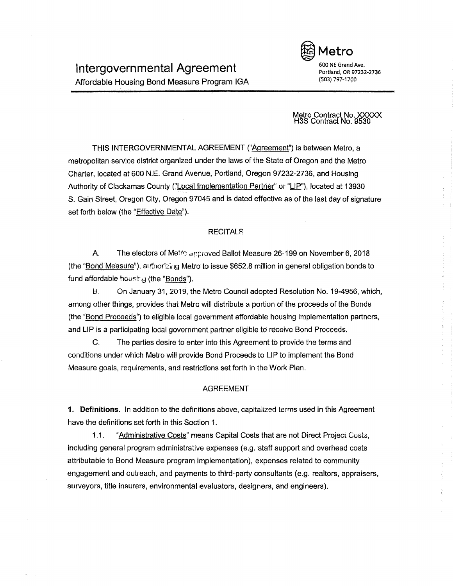

Portland, OR 97232-2736 (503) 797-1700

Metro Contract No. XXXXX H3S Contract No. 9530

THIS INTERGOVERNMENTAL AGREEMENT ("Agreement") is between Metro, a metropolitan service district organized under the laws of the State of Oregon and the Metro Charter, located at 600 N.E. Grand Avenue, Portland, Oregon 97232-2736, and Housing Authority of Clackamas County ("Local Implementation Partner" or "LIP"), located at 13930 S. Gain Street, Oregon City, Oregon 97045 and is dated effective as of the last day of signature set forth below (the "Effective Date").

# **RECITALS**

A. The electors of Metro approved Ballot Measure 26-199 on November 6, 2018 (the "Bond Measure"), at !thorizing Metro to issue \$652.8 million in general obligation bonds to fund affordable housing (the "Bonds").

B. On January 31, 2019, the Metro Council adopted Resolution No. 19-4956, which, among other things, provides that Metro will distribute a portion of the proceeds of the Bonds (the "Bond Proceeds") to eligible local government affordable housing implementation partners, and LIP is a participating local government partner eligible to receive Bond Proceeds.

C. The parties desire to enter into this Agreement to provide the terms and conditions under which Metro will provide Bond Proceeds to LIP to implement the Bond Measure goals, requirements, and restrictions set forth in the Work Plan.

## AGREEMENT

**1. Definitions.** In addition to the definitions above, capitalized terms used in this Agreement have the definitions set forth in this Section 1.

1.1. "Administrative Costs" means Capital Costs that are not Direct Project Costs, including general program administrative expenses (e.g. staff support and overhead costs attributable to Bond Measure program implementation), expenses related to community engagement and outreach, and payments to third-party consultants (e.g. realtors, appraisers, surveyors, title insurers, environmental evaluators, designers, and engineers).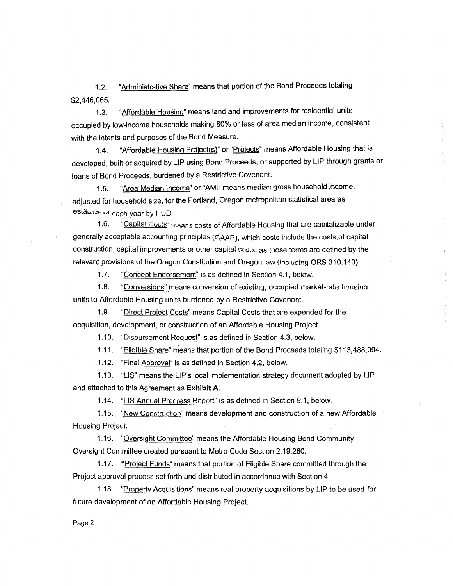1.2. "Administrative Share" means that portion of the Bond Proceeds totaling \$2,446,065.

1.3. "Affordable Housing" means land and improvements for residential units occupied by low-income households making 80% or less of area median income, consistent with the intents and purposes of the Bond Measure.

1.4. "Affordable Housing Project(s)" or "Projects" means Affordable Housing that is developed, built or acquired by LIP using Bond Proceeds, or supported by LIP through grants or loans of Bond Proceeds, burdened by a Restrictive Covenant.

1.5. ''Area Median Income" or "AMI" means median gross household income, adjusted for household size, for the Portland, Oregon metropolitan statistical area as estatisted each vear by HUD.

1.6. "Capital Costs-reagns costs of Affordable Housing that are capitalizable under generally acceptable accounting principles (GAAP), which costs include the costs of capital construction, capital improvements or other capital  $costs$ , as those terms are defined by the relevant provisions of the Oregon Constitution and Oregon law (including ORS 310.140).

1.7. "Concept Endorsement" is as defined in Section 4.1, below.

1.8. "Conversions" means conversion of existing, occupied market-rate housing units to Affordable Housing units burdened by a Restrictive Covenant.

1.9. "Direct Project Costs" means Capital Costs that are expended for the acquisition, development, or construction of an Affordable Housing Project.

1.10. "Disbursement Request" is as defined in Section 4.3, below.

1.11. "Eligible Share" means that portion of the Bond Proceeds totaling \$113,488,094.

1.12. "Final Approval" is as defined in Section 4.2, below.

1.13. "LIS" means the UP's local implementation strategy document adopted by LIP and attached to this Agreement as **Exhibit A.** 

1.14. "LIS Annual Progress Report" is as defined in Section 9.1, below.

1.15. "New Construction" means development and construction of a new Affordable Housing Project

1.16. "Oversight Committee" means the Affordable Housing Bond Community Oversight Committee created pursuant to Metro Code Section 2.19.260.

1.17. "Project Funds" means that portion of Eligible Share committed through the Project approval process set forth and distributed in accordance with Section 4.

1.18. "Property Acquisitions" means real property acquisitions by LIP to be used for future development of an Affordablo Housing Project.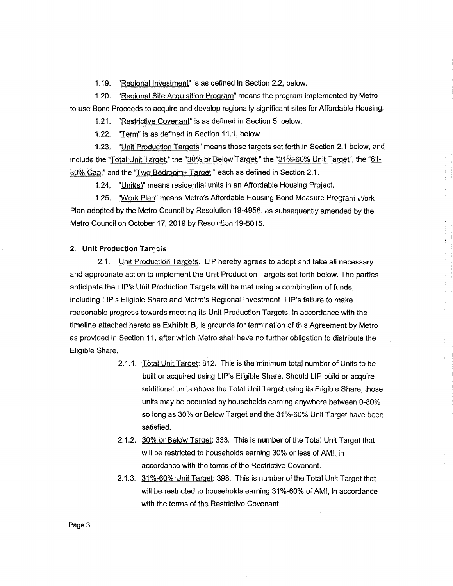1.19. "Regional Investment" is as defined in Section 2.2, below.

1.20. "Regional Site Acquisition Program" means the program implemented by Metro to use Bond Proceeds to acquire and develop regionally significant sites for Affordable Housing.

1.21. "Restrictive Covenant" is as defined in Section 5, below.

1.22. "Term" is as defined in Section 11.1, below.

1.23. "Unit Production Targets" means those targets set forth in Section 2.1 below, and include the "Total Unit Target," the "30'% or Below Target," the "31%~60% Unit Target", the "61- 80% Cap," and the "Two-Bedroom+ Target," each as defined in Section 2.1.

1.24. "Unit(s)" means residential units in an Affordable Housing Project.

1.25. "Work Plan" means Metro's Affordable Housing Bond Measure Program Work Plan adopted by the Metro Council by Resolution 19-4956, as subsequently amended by the Metro Council on October 17, 2019 by Resolution 19-5015.

## **2. Unit Production Targets**

2.1. Unit Production Targets. LIP hereby agrees to adopt and take all necessary and appropriate action to implement the Unit Production Targets set forth below. The parties anticipate the LIP's Unit Production Targets will be met using a combination of funds, including LIP's Eligible Share and Metro's Regional Investment. LIP's failure to make reasonable progress towards meeting its Unit Production Targets, in accordance with the timeline attached hereto as **Exhibit B,** is grounds for termination of this Agreement by Metro as provided in Section 11, after which Metro shall have no further obligation *to* distribute the Eligible Share.

- 2.1.1. Total Unit Target: 812. This is the minimum total number of Units to be built or acquired using LIP's Eligible Share. Should LIP build or acquire additional units above the Total Unit Target using its Eligible Share, those units may be occupied by households earning anywhere between 0-80% so long as 30% or Below Target and the 31%-60% Unit Target have been satisfied.
- 2.1.2. 30% or Below Target: 333. This is number of the Total Unit Target that will be restricted to households earning 30% or less of AMI, in accordance with the terms of the Restrictive Covenant.
- 2.1.3. 31 %-60% Unit Target: 398. This is number of the Total Unit Target that will be restricted to households earning 31%-60% of AMI, in accordance with the terms of the Restrictive Covenant.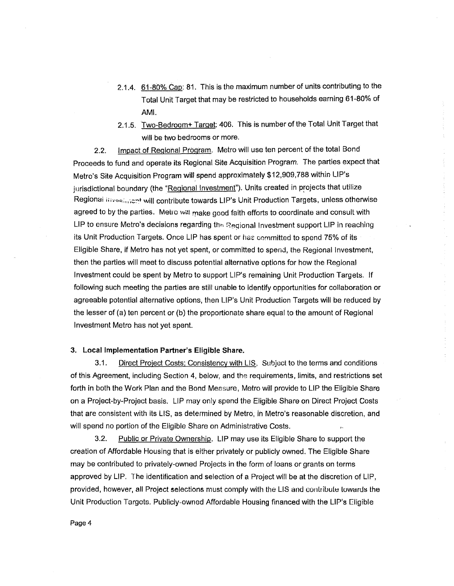- 2.1.4. 61-80% Cap: 81. This is the maximum number of units contributing to the Total Unit Target that may be restricted to households earning 61-80% of AMI.
- 2.1.5. Two-Bedroom+ Target: 406. This is number of the Total Unit Target that will be two bedrooms or more.

2.2. Impact of Regional Program. Metro will use ten percent of the total Bond Proceeds to fund and operate its Regional Site Acquisition Program. The parties expect that Metro's Site Acquisition Program will spend approximately \$12,909,788 within LIP's jurisdictional boundary (the "Regional Investment"). Units created in projects that utilize Regional illivesimist will contribute towards LIP's Unit Production Targets, unless otherwise agreed to by the parties. Metro will make good faith efforts to coordinate and consult with LIP to ensure Metro's decisions regarding the Regional Investment support LIP in reaching its Unit Production Targets. Once LIP has spent or has committed to spend 75% of its Eligible Share, if Metro has not yet spent, or committed to spend, the Regional Investment, then the parties will meet to discuss potential alternative options for how the Regional Investment could be spent by Metro to support LIP's remaining Unit Production Targets. If following such meeting the parties are still unable to identify opportunities for collaboration or agreeable potential alternative options, then LIP's Unit Production Targets will be reduced by the lesser of (a} ten percent or {b) the proportionate share equal to the amount of Regional Investment Metro has not yet spent.

### **3. Local Implementation Partner's Eligible Share.**

3.1. Direct Project Costs: Consistency with LIS. Subject to the terms and conditions of this Agreement, including Section 4, below, and the requirements, limits, and restrictions set forth in both the Work Plan and the Bond Measure, Metro will provide to LIP the Eligible Share on a Project-by-Project basis. LIP may only spend the Eligible Share on Direct Project Costs that are consistent with its LIS, as determined by Metro, in Metro's reasonable discretion, and will spend no portion of the Eligible Share on Administrative Costs.

3.2. Public or Private Ownership. LIP may use its Eligible Share to support the creation of Affordable Housing that is either privately or publicly owned. The Eligible Share may be contributed to privately-owned Projects in the form of loans or grants on terms approved by LIP. The identification and selection of a Project will be at the discretion of LIP, provided, however, all Project selections must comply with the LIS and contribute lowards the Unit Production Targets. Publicly-owned Affordable Housing financed with the LIP's Eligible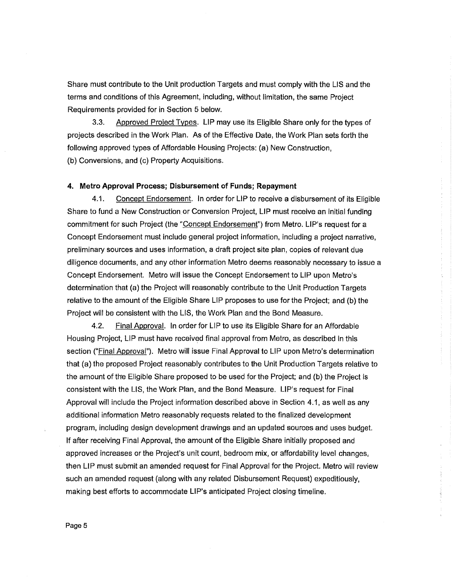Share must contribute to the Unit production Targets and must comply with the LIS and the terms and conditions of this Agreement, including, without limitation, the same Project Requirements provided for in Section 5 below.

3.3. Approved Prolect Types. LIP may use its Eligible Share only for the types of projects described in the Work Plan. As of the Effective Date, the Work Plan sets forth the following approved types of Affordable Housing Projects: (a) New Construction, (b) Conversions, and (c) Property Acquisitions.

## **4. Metro Approval Process; Disbursement of Funds; Repayment**

4.1. Concept Endorsement. In order for LIP to receive a disbursement of its Eligible Share to fund a New Construction or Conversion Project, LIP must receive an initial funding commitment for such Project (the "Concept Endorsement") from Metro. LIP's request for a Concept Endorsement must include general project information, including a project narrative, preliminary sources and uses information, a draft project site plan, copies of relevant due diligence documents, and any other information Metro deems reasonably necessary to issue a Concept Endorsement. Metro will issue the Concept Endorsement to LIP upon Metro's determination that (a) the Project will reasonably contribute to the Unit Production Targets relative to the amount of the Eligible Share LIP proposes to use for the Project; and (b) the Project will be consistent with the LIS, the Work Plan and the Bond Measure.

4.2. Final Approval. In order for LIP to use its Eligible Share for an Affordable Housing Project, LIP must have received final approval from Metro, as described in this section ("Final Approval"). Metro will issue Final Approval to LIP upon Metro's determination that (a) the proposed Project reasonably contributes to the Unit Production Targets relative to the amount of the Eligible Share proposed to be used for the Project; and (b) the Project is consistent with the LIS, the Work Plan, and the Bond Measure. LIP's request for Final Approval will include the Project information described above in Section 4.1, as well as any additional information Metro reasonably requests related to the finalized development program, including design development drawings and an updated sources and uses budget. If after receiving Final Approval, the amount of the Eligible Share initially proposed and approved increases or the Project's unit count, bedroom mix, or affordability level changes, then LIP must submit an amended request for Final Approval for the Project. Metro will review such an amended request (along with any related Disbursement Request) expeditiously, making best efforts to accommodate LIP's anticipated Project closing timeline.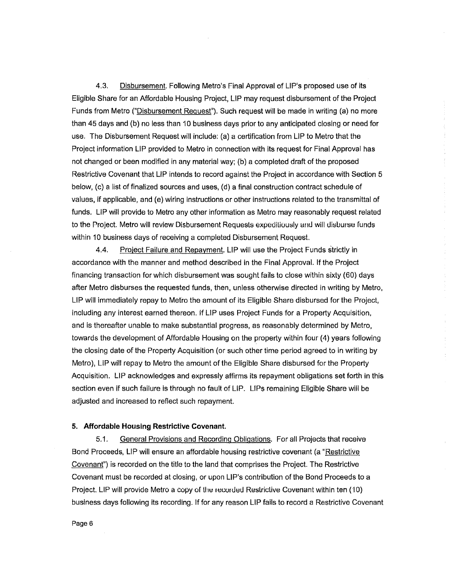4.3. Disbursement. Following Metro's Final Approval of LIP's proposed use of its Eligible Share for an Affordable Housing Project, LIP may request disbursement of the Project Funds from Metro ("Disbursement Request"). Such request will be made in writing (a) no more than 45 days and (b) no less than 10 business days prior to any anticipated closing or need for use. The Disbursement Request will include: (a) a certification from LIP to Metro that the Project information LIP provided to Metro in connection with its request for Final Approval has not changed or been modified in any material way; (b) a completed draft of the proposed Restrictive Covenant that LIP intends to record against the Project in accordance with Section 5 below, (c} a list of finalized sources and uses, (d) a final construction contract schedule of values, if applicable, and (e) wiring instructions or other instructions related to the transmittal of funds. LIP will provide to Metro any other information as Metro may reasonably request related to the Project. Metro will review Disbursement Requests expeditiously and will disburse funds within 10 business days of receiving a completed Disbursement Request.

4.4. Project Failure and Repayment. LIP will use the Project Funds strictly in accordance with the manner and method described in the Final Approval. If the Project financing transaction for which disbursement was sought fails to close within sixty (60) days after Metro disburses the requested funds, then, unless otherwise directed in writing by Metro, LIP will immediately repay to Metro the amount of its Eligible Share disbursed for the Project, including any interest earned thereon. If LIP uses Project Funds for a Property Acquisition, and is thereafter unable to make substantial progress, as reasonably determined by Metro, towards the development of Affordable Housing on the property within four (4) years following the closing date of the Property Acquisition (or such other time period agreed to in writing by Metro), LIP will repay to Metro the amount of the Eligible Share disbursed for the Property Acquisition. LIP acknowledges and expressly affirms its repayment obligations set forth in this section even if such failure is through no fault of LIP. LIPs remaining Eligible Share will be adjusted and increased to reflect such repayment.

 $\frac{1}{2}$ 

### **5. Affordable Housing Restrictive Covenant.**

5.1. General Provisions and Recording Obligations. For all Projects that receive Bond Proceeds, LIP will ensure an affordable housing restrictive covenant (a "Restrictive Covenant") is recorded on the title to the land that comprises the Project. The Restrictive Covenant must be recorded at closing, or upon LIP's contribution of the Bond Proceeds to a Project. LIP will provide Metro a copy of the recorded Restrictive Covenant within ten (10) business days following its recording. If for any reason LIP fails to record a Restrictive Covenant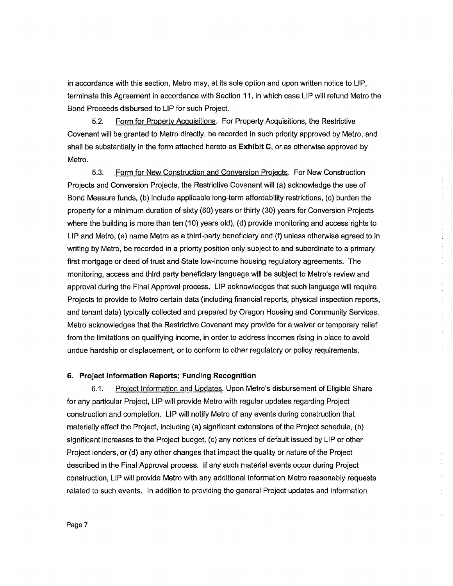in accordance with this section, Metro may, at its sole option and upon written notice to LIP, terminate this Agreement in accordance with Section 11, in which case LIP will refund Metro the Bond Proceeds disbursed to LIP for such Project.

5.2. Form for Property Acquisitions. For Property Acquisitions, the Restrictive Covenant will be granted to Metro directly, be recorded in such priority approved by Metro, and shall be substantially in the form attached hereto as **Exhibit C,** or as otherwise approved by Metro.

5.3. Form for New Construction and Conversion Projects. For New Construction Projects and Conversion Projects, the Restrictive Covenant will (a) acknowledge the use of Bond Measure funds, (b) include applicable long-term affordability restrictions, (c) burden the property for a minimum duration of sixty (60) years or thirty (30) years for Conversion Projects where the building is more than ten (10) years old), (d) provide monitoring and access rights to LIP and Metro, (e) name Metro as a third-party beneficiary and (f) unless otherwise agreed to in writing by Metro, be recorded in a priority position only subject to and subordinate to a primary first mortgage or deed of trust and State low-income housing regulatory agreements. The monitoring, access and third party beneficiary language will be subject to Metro's review and approval during the Final Approval process. LIP acknowledges that such language will require Projects to provide to Metro certain data (including financial reports, physical inspection reports, and tenant data) typically collected and prepared by Oregon Housing and Community Services. Metro acknowledges that the Restrictive Covenant may provide for a waiver or temporary relief from the limitations on qualifying income, in order to address incomes rising in place to avoid undue hardship or displacement, or to conform to other regulatory or policy requirements.

## **6. Project Information Reports; Funding Recognition**

6.1. Project Information and Updates. Upon Metro's disbursement of Eligible Share for any particular Project, LIP will provide Metro with regular updates regarding Project construction and completion. LIP will notify Metro of any events during construction that materially affect the Project, including (a) significant extensions of the Project schedule, (b) significant increases to the Project budget, (c) any notices of default issued by LIP or other Project lenders, or (d) any other changes that impact the quality or nature of the Project described in the Final Approval process. If any such material events occur during Project construction, LIP will provide Metro with any additional information Metro reasonably requests related to such events. In addition to providing the general Project updates and information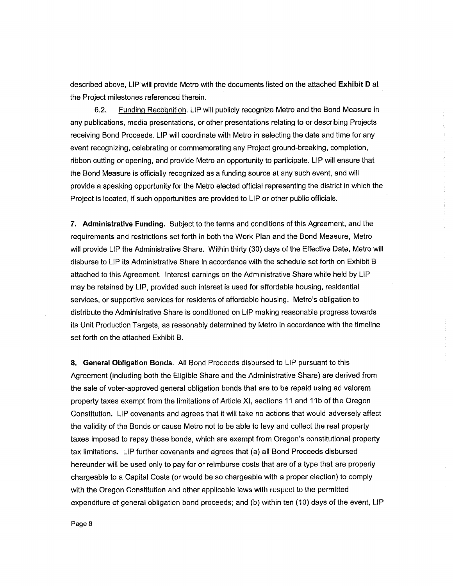described above, LIP will provide Metro with the documents listed on the attached **Exhibit D** at the Project milestones referenced therein.

6.2. Funding Recognition. LIP will publicly recognize Metro and the Bond Measure in any publications, media presentations, or other presentations relating to or describing Projects receiving Bond Proceeds. LIP will coordinate with Metro in selecting the date and time for any event recognizing, celebrating or commemorating any Project ground-breaking, completion, ribbon cutting or opening, and provide Metro an opportunity to participate. LIP will ensure that the Bond Measure is officially recognized as a funding source at any such event, and will provide a speaking opportunity for the Metro elected official representing the district in which the Project is located, if such opportunities are provided to LIP or other public officials.

**7. Administrative Funding.** Subject to the terms and conditions of this Agreement. and Lhe requirements and restrictions set forth in both the Work Plan and the Bond Measure, Metro will provide LIP the Administrative Share. Within thirty {30) days of the Effective Date, Metro will disburse to LIP its Administrative Share in accordance with the schedule set forth on Exhibit B attached to this Agreement. Interest earnings on the Administrative Share while held by LIP may be retained by LIP, provided such interest is used for affordable housing, residential services, or supportive services for residents of affordable housing. Metro's obligation to distribute the Administrative Share is conditioned on LIP making reasonable progress towards its Unit Production Targets, as reasonably determined by Metro in accordance with the timeline set forth on the attached Exhibit B.

÷.

**8. General Obligation Bonds.** All Bond Proceeds disbursed to LIP pursuant to this Agreement (including both the Eligible Share and the Administrative Share) are derived from the sale of voter-approved general obligation bonds that are to be repaid using ad valorem property taxes exempt from the limitations of Article XI, sections 11and11b of the Oregon Constitution. LIP covenants and agrees that it will take no actions that would adversely affect the validity of the Bonds or cause Metro not to be able to levy and collect the real property taxes imposed to repay these bonds, which are exempt from Oregon's constitutional property tax limitations. LIP further covenants and agrees that (a) all Bond Proceeds disbursed hereunder will be used only to pay for or reimburse costs that are of a type that are properly chargeable to a Capital Costs (or would be so chargeable with a proper election) to comply with the Oregon Constitution and other applicable laws with respect to the permitted expenditure of general obligation bond proceeds; and (b) within ten (10) days of the event, LIP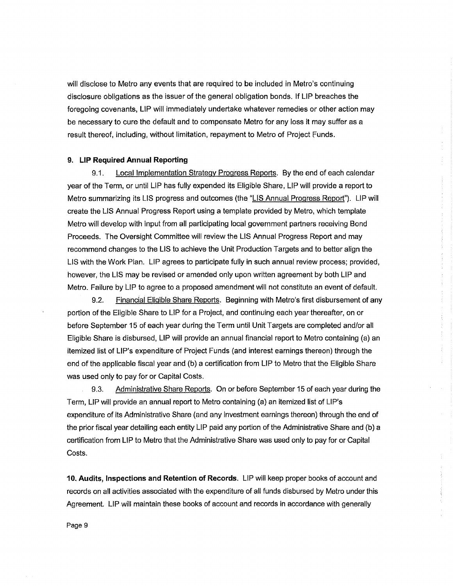will disclose to Metro any events that are required to be included in Metro's continuing disclosure obligations as the issuer of the general obligation bonds. If LIP breaches the foregoing covenants, LIP will immediately undertake whatever remedies or other action may be necessary to cure the default and to compensate Metro for any loss it may suffer as a result thereof, including, without limitation, repayment to Metro of Project Funds.

#### **9. LIP Required Annual Reporting**

9.1. Local Implementation Strategy Progress Reports. By the end of each calendar year of the Term, or until LIP has fully expended its Eligible Share, LIP will provide a report to Metro summarizing its LIS progress and outcomes (the "LIS Annual Progress Report"). LIP will create the LIS Annual Progress Report using a template provided by Metro, which template Metro will develop with input from all participating local government partners receiving Bond Proceeds. The Oversight Committee will review the LIS Annual Progress Report and may recommend changes to the LIS to achieve the Unit Production Targets and to better align the LIS with the Work Plan. LIP agrees to participate fully in such annual review process; provided, however, the LIS may be revised or amended only upon written agreement by both LIP and Metro. Failure by LIP to agree to a proposed amendment will not constitute an event of default.

9.2. Financial Eligible Share Reports. Beginning with Metro's first disbursement of any portion of the Eligible Share to LIP for a Project, and continuing each year thereafter, on or before September 15 of each year during the Term until Unit Targets are completed and/or all Eligible Share is disbursed, LIP will provide an annual financial report to Metro containing (a) an itemized list of LIP's expenditure of Project Funds (and interest earnings thereon) through the end of the applicable fiscal year and {b) a certification from LIP to Metro that the Eligible Share was used only to pay for or Capital Costs.

9.3. Administrative Share Reports. On or before September 15 of each year during the Term, LIP will provide an annual report to Metro containing (a) an itemized list of LIP's expenditure of its Administrative Share (and any investment earnings thereon) through the end of the prior fiscal year detailing each entity LIP paid any portion of the Administrative Share and (b) a certification from LIP to Metro that the Administrative Share was used only to pay for or Capital Costs.

**10. Audits, Inspections and Retention of Records.** LIP will keep proper books of account and records on all activities associated with the expenditure of all funds disbursed by Metro under this Agreement. LIP will maintain these books of account and records in accordance with generally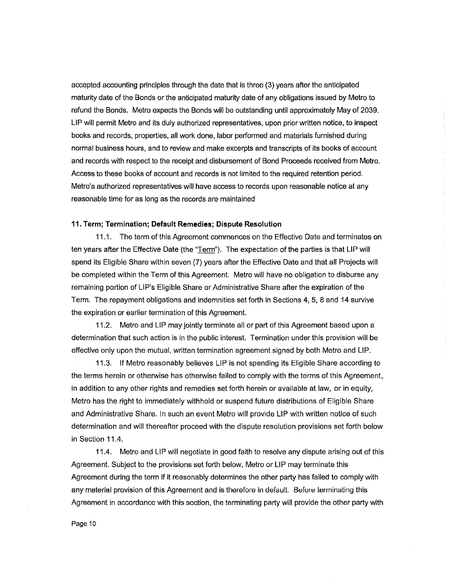accepted accounting principles through the date that is three (3) years after the anticipated maturity date of the Bonds or the anticipated maturity date of any obligations issued by Metro to refund the Bonds. Metro expects the Bonds will be outstanding until approximately May of 2039. LIP will permit Metro and its duly authorized representatives, upon prior written notice, to inspect books and records, properties, all work done, labor performed and materials furnished during normal business hours, and to review and make excerpts and transcripts of its books of account and records with respect to the receipt and disbursement of Bond Proceeds received from Metro. Access to these books of account and records is not limited to the required retention period. Metro's authorized representatives will have access to records upon reasonable notice at any reasonable time for as long as the records are maintained

÷

 $\ddot{\cdot}$ 

÷,

## **11. Term; Termination; Default Remedies; Dispute Resolution**

11.1. The term of this Agreement commences on the Effective Date and terminates on ten years after the Effective Date (the "Term"). The expectation of the parties is that LIP will spend its Eligible Share within seven (7) years after the Effective Date and that all Projects will be completed within the Term of this Agreement. Metro will have no obligation to disburse any remaining portion of LIP's Eligible Share or Administrative Share after the expiration of the Term. The repayment obligations and indemnities set forth in Sections 4, 5, 8 and 14 survive the expiration or earlier termination of this Agreement.

11.2. Metro and LIP may jointly terminate all or part of this Agreement based upon a determination that such action is in the public interest. Termination under this provision will be effective only upon the mutual, written termination agreement signed by both Metro and LIP.

11.3. If Metro reasonably believes LIP is not spending its Eligible Share according to the terms herein or otherwise has otherwise failed to comply with the terms of this Agreement, in addition to any other rights and remedies set forth herein or available at law, or in equity, Metro has the right to immediately withhold or suspend future distributions of Eligible Share and Administrative Share. In such an event Metro will provide LIP with written notice of such determination and will thereafter proceed with the dispute resolution provisions set forth below in Section 11.4.

11.4. Metro and LIP will negotiate in good faith to resolve any dispute arising out of this Agreement. Subject to the provisions set forth below, Metro or LIP may terminate this Agreement during the term if it reasonably determines the other party has failed to comply with any material provision of this Agreement and is therefore in deraull. Berure Lerrninating this Agreement in accordance with this section, the terminating party will provide the other party with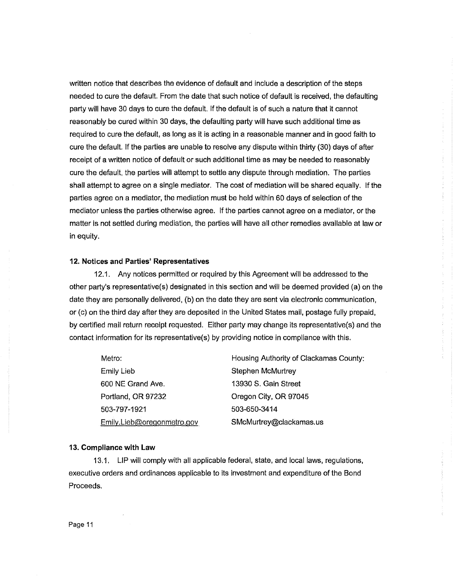written notice that describes the evidence of default and include a description of the steps needed to cure the default. From the date that such notice of default is received, the defaulting party will have 30 days to cure the default. If the default is of such a nature that it cannot reasonably be cured within 30 days, the defaulting party will have such additional time as required to cure the default, as long as it is acting in a reasonable manner and in good faith to cure the default. If the parties are unable to resolve any dispute within thirty (30) days of after receipt of a written notice of default or such additional time as may be needed to reasonably cure the default, the parties will attempt to settle any dispute through mediation. The parties shall attempt to agree on a single mediator. The cost of mediation will be shared equally. If the parties agree on a mediator, the mediation must be held within 60 days of selection of the mediator unless the parties otherwise agree. If the parties cannot agree on a mediator, or the matter is not settled during mediation, the parties will have all other remedies available at law or in equity.

#### **12. Notices and Parties' Representatives**

12.1. Any notices permitted or required by this Agreement will be addressed to the other party's representative(s) designated in this section and will be deemed provided (a) on the date they are personally delivered, (b) on the date they are sent via electronic communication, or (c) on the third day after they are deposited in the United States mail, postage fully prepaid, by certified mail return receipt requested. Either party may change its representative(s) and the contact information for its representative(s) by providing notice in compliance with this.

Metro: Emily Lieb 600 NE Grand Ave. Portland, OR 97232 503-797-1921 Emily.Lieb@oregonmetro.gov Housing Authority of Clackamas County: Stephen McMurtrey 13930 S. Gain Street Oregon City, OR 97045 503-650-3414 SMcMurtrey@clackamas.us

#### **13. Compliance with Law**

13.1. LIP will comply with all applicable federal, state, and local laws, regulations, executive orders and ordinances applicable to its investment and expenditure of the Bond Proceeds.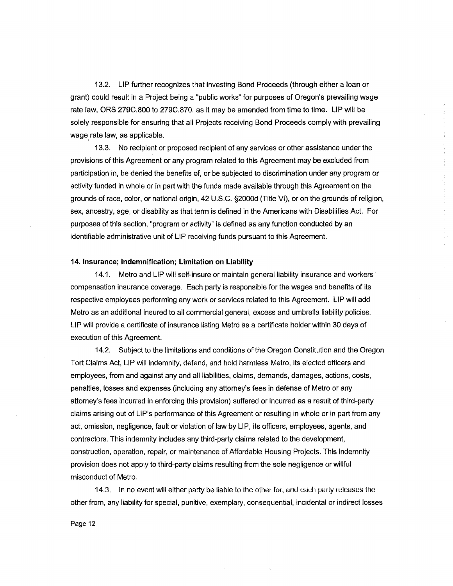13.2. LIP further recognizes that investing Bond Proceeds (through either a loan or grant) could result in a Project being a "public works" for purposes of Oregon's prevailing wage rate law, ORS 279C.800 to 279C.870, as it may be amended from time to time. LIP will be solely responsible for ensuring that all Projects receiving Bond Proceeds comply with prevailing wage rate law, as applicable.

13.3. No recipient or proposed recipient of any services or other assistance under the provisions of this Agreement or any program related to this Agreement may be excluded from participation in, be denied the benefits of, or be subjected to discrimination under any program or activity funded in whole or in part with the funds made available through this Agreement on the grounds of race, color, or national origin, 42 U.S.C. §2000d (Title VI), or on the grounds of religion, sex, ancestry, age, or disability as that term is defined in the Americans with Disabilities Act. For purposes of this section, "program or activity" is defined as any function conducted by an identifiable administrative unit of LIP receiving funds pursuant to this Agreement.

#### **14. Insurance; Indemnification; Limitation on Liability**

14.1. Metro and LIP will self-insure or maintain general liability insurance and workers compensation insurance coverage. Each party is responsible for the wages and benefits of its respective employees performing any work or services related to this Agreement. LIP will add Metro as an additional insured to all commercial general, excess and umbrella liability policies. LIP will provide a certificate of insurance listing Metro as a certificate holder within 30 days of execution of this Agreement.

14.2. Subject to the limitations and conditions of the Oregon Constitution and the Oregon Tort Claims Act, LIP will indemnify, defend, and hold harmless Metro, its elected officers and employees, from and against any and all liabilities, claims, demands, damages, actions, costs, penalties, losses and expenses (including any attorney's fees in defense of Metro or any attorney's fees incurred in enforcing this provision) suffered or incurred as a result of third-party claims arising out of LIP's performance of this Agreement or resulting in whole or in part from any act, omission, negligence, fault or violation of law by LIP, its officers, employees, agents, and contractors. This indemnity includes any third-party claims related to the development, construction, operation, repair, or maintenance of Affordable Housing Projects. This indemnity provision does not apply to third-party claims resulting from the sole negligence or willful misconduct of Metro.

14.3. In no event will either party be liable to the other for, and each party releases the other from, any liability for special, punitive, exemplary, consequential, incidental or indirect losses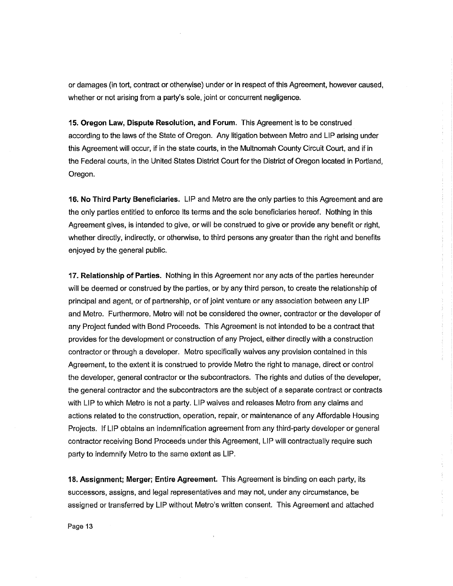or damages (in tort, contract or otherwise) under or in respect of this Agreement, however caused, whether or not arising from a party's sole, joint or concurrent negligence.

**15. Oregon Law, Dispute Resolution, and Forum.** This Agreement Is to be construed according to the laws of the State of Oregon. Any litigation between Metro and LIP arising under this Agreement will occur, if in the state courts, in the Multnomah County Circuit Court, and if in the Federal courts, in the United States District Court for the District of Oregon located in Portland, Oregon.

**16. No Third Party Beneficiaries.** LIP and Metro are the only parties to this Agreement and are the only parties entitled to enforce its terms and the sole beneficiaries hereof. Nothing in this Agreement gives, is intended to give, or will be construed to give or provide any benefit or right, whether directly, indirectly, or otherwise, to third persons any greater than the right and benefits enjoyed by the general public.

**17. Relationship of Parties.** Nothing in this Agreement nor any acts of the parties hereunder will be deemed or construed by the parties, or by any third person, to create the relationship of principal and agent, or of partnership, or of joint venture or any association between any LIP and Metro. Furthermore, Metro will not be considered the owner, contractor or the developer of any Project funded with Bond Proceeds. This Agreement is not intended to be a contract that provides for the development or construction of any Project, either directly with a construction contractor or through a developer. Metro specifically waives any provision contained in this Agreement, to the extent it is construed to provide Metro the right to manage, direct or control the developer, general contractor or the subcontractors. The rights and duties of the developer, the general contractor and the subcontractors are the subject of a separate contract or contracts with LIP to which Metro is not a party. LIP waives and releases Metro from any claims and actions related to the construction, operation, repair, or maintenance of any Affordable Housing Projects. If LIP obtains an indemnification agreement from any third-party developer or general contractor receiving Bond Proceeds under this Agreement, LIP will contractually require such party to indemnify Metro to the same extent as LIP.

**18. Assignment; Merger; Entire Agreement.** This Agreement is binding on each party, its successors, assigns, and legal representatives and may not, under any circumstance, be assigned or transferred by LIP without Metro's written consent. This Agreement and attached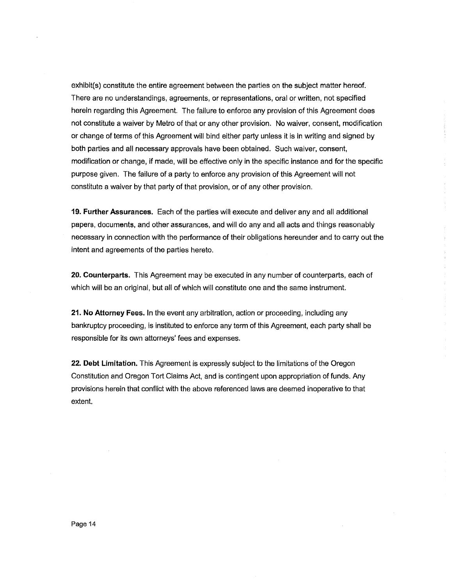exhibit(s) constitute the entire agreement between the parties on the subject matter hereof. There are no understandings, agreements, or representations, oral or written, not specified herein regarding this Agreement. The failure to enforce any provision of this Agreement does not constitute a waiver by Metro of that or any other provision. No waiver, consent, modification or change of terms of this Agreement will bind either party unless it is in writing and signed by both parties and all necessary approvals have been obtained. Such waiver, consent, modification or change, if made, will be effective only in the specific instance and for the specific purpose given. The failure of a party to enforce any provision of this Agreement will not constitute a waiver by that party of that provision, or of any other provision.

**19. Further Assurances.** Each of the parties will execute and deliver any and all additional papers, documents, and other assurances, and will do any and all acts and things reasonably necessary in connection with the performance of their obligations hereunder and to carry out the intent and agreements of the parties hereto.

 $\frac{1}{\epsilon}$ 

**20. Counterparts.** This Agreement may be executed in any number of counterparts, each of which will be an original, but all of which will constitute one and the same instrument.

**21. No Attorney Fees.** In the event any arbitration, action or proceeding, including any bankruptcy proceeding, is instituted to enforce any term of this Agreement, each party shall be responsible for its own attorneys' fees and expenses.

**22. Debt Limitation.** This Agreement is expressly subject to the limitations of the Oregon Constitution and Oregon Tort Claims Act, and is contingent upon appropriation of funds. Any provisions herein that conflict with the above referenced laws are deemed inoperative to that extent.